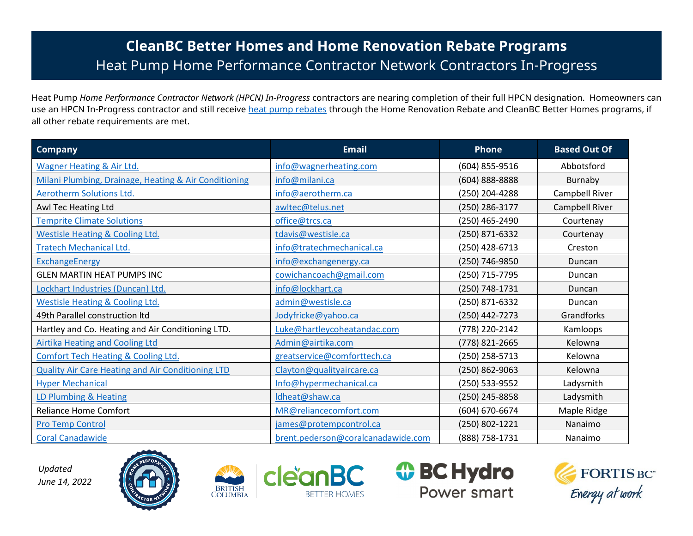## **CleanBC Better Homes and Home Renovation Rebate Programs** Heat Pump Home Performance Contractor Network Contractors In-Progress

Heat Pump *Home Performance Contractor Network (HPCN) In-Progress* contractors are nearing completion of their full HPCN designation. Homeowners can use an HPCN In-Progress contractor and still receive [heat pump rebates](https://betterhomesbc.ca/rebates/cleanbc-better-homes-and-home-renovation-rebate-programs/) through the Home Renovation Rebate and CleanBC Better Homes programs, if all other rebate requirements are met.

| <b>Company</b>                                           | <b>Email</b>                       | <b>Phone</b>   | <b>Based Out Of</b> |
|----------------------------------------------------------|------------------------------------|----------------|---------------------|
| Wagner Heating & Air Ltd.                                | info@wagnerheating.com             | (604) 855-9516 | Abbotsford          |
| Milani Plumbing, Drainage, Heating & Air Conditioning    | info@milani.ca                     | (604) 888-8888 | Burnaby             |
| Aerotherm Solutions Ltd.                                 | info@aerotherm.ca                  | (250) 204-4288 | Campbell River      |
| Awl Tec Heating Ltd                                      | awltec@telus.net                   | (250) 286-3177 | Campbell River      |
| <b>Temprite Climate Solutions</b>                        | office@trcs.ca                     | (250) 465-2490 | Courtenay           |
| <b>Westisle Heating &amp; Cooling Ltd.</b>               | tdavis@westisle.ca                 | (250) 871-6332 | Courtenay           |
| <b>Tratech Mechanical Ltd.</b>                           | info@tratechmechanical.ca          | (250) 428-6713 | Creston             |
| <b>ExchangeEnergy</b>                                    | info@exchangenergy.ca              | (250) 746-9850 | Duncan              |
| <b>GLEN MARTIN HEAT PUMPS INC</b>                        | cowichancoach@gmail.com            | (250) 715-7795 | Duncan              |
| Lockhart Industries (Duncan) Ltd.                        | info@lockhart.ca                   | (250) 748-1731 | Duncan              |
| <b>Westisle Heating &amp; Cooling Ltd.</b>               | admin@westisle.ca                  | (250) 871-6332 | Duncan              |
| 49th Parallel construction Itd                           | Jodyfricke@yahoo.ca                | (250) 442-7273 | Grandforks          |
| Hartley and Co. Heating and Air Conditioning LTD.        | Luke@hartleycoheatandac.com        | (778) 220-2142 | Kamloops            |
| <b>Airtika Heating and Cooling Ltd</b>                   | Admin@airtika.com                  | (778) 821-2665 | Kelowna             |
| <b>Comfort Tech Heating &amp; Cooling Ltd.</b>           | greatservice@comforttech.ca        | (250) 258-5713 | Kelowna             |
| <b>Quality Air Care Heating and Air Conditioning LTD</b> | Clayton@qualityaircare.ca          | (250) 862-9063 | Kelowna             |
| <b>Hyper Mechanical</b>                                  | Info@hypermechanical.ca            | (250) 533-9552 | Ladysmith           |
| <b>LD Plumbing &amp; Heating</b>                         | Idheat@shaw.ca                     | (250) 245-8858 | Ladysmith           |
| <b>Reliance Home Comfort</b>                             | MR@reliancecomfort.com             | (604) 670-6674 | Maple Ridge         |
| <b>Pro Temp Control</b>                                  | james@protempcontrol.ca            | (250) 802-1221 | Nanaimo             |
| <b>Coral Canadawide</b>                                  | brent.pederson@coralcanadawide.com | (888) 758-1731 | Nanaimo             |

*Updated June 14, 2022*









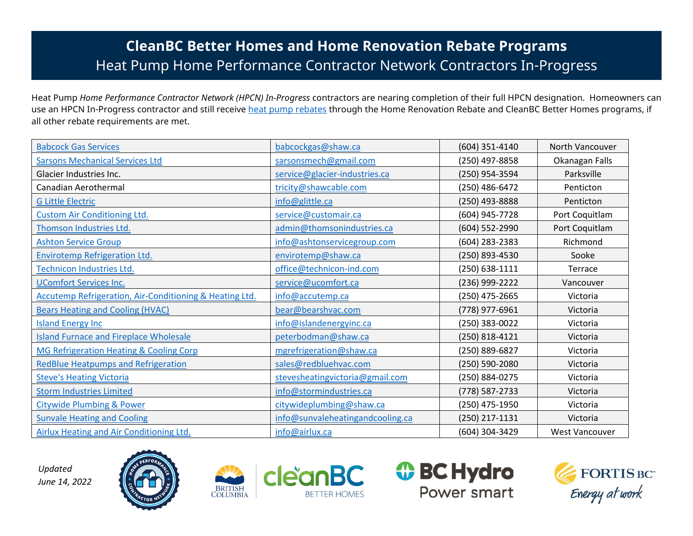## **CleanBC Better Homes and Home Renovation Rebate Programs** Heat Pump Home Performance Contractor Network Contractors In-Progress

Heat Pump *Home Performance Contractor Network (HPCN) In-Progress* contractors are nearing completion of their full HPCN designation. Homeowners can use an HPCN In-Progress contractor and still receive [heat pump rebates](https://betterhomesbc.ca/rebates/cleanbc-better-homes-and-home-renovation-rebate-programs/) through the Home Renovation Rebate and CleanBC Better Homes programs, if all other rebate requirements are met.

| <b>Babcock Gas Services</b>                             | babcockgas@shaw.ca               | (604) 351-4140 | North Vancouver       |
|---------------------------------------------------------|----------------------------------|----------------|-----------------------|
| <b>Sarsons Mechanical Services Ltd</b>                  | sarsonsmech@gmail.com            | (250) 497-8858 | Okanagan Falls        |
| Glacier Industries Inc.                                 | service@glacier-industries.ca    | (250) 954-3594 | Parksville            |
| Canadian Aerothermal                                    | tricity@shawcable.com            | (250) 486-6472 | Penticton             |
| <b>G Little Electric</b>                                | info@glittle.ca                  | (250) 493-8888 | Penticton             |
| <b>Custom Air Conditioning Ltd.</b>                     | service@customair.ca             | (604) 945-7728 | Port Coquitlam        |
| Thomson Industries Ltd.                                 | admin@thomsonindustries.ca       | (604) 552-2990 | Port Coquitlam        |
| <b>Ashton Service Group</b>                             | info@ashtonservicegroup.com      | (604) 283-2383 | Richmond              |
| <b>Envirotemp Refrigeration Ltd.</b>                    | envirotemp@shaw.ca               | (250) 893-4530 | Sooke                 |
| Technicon Industries Ltd.                               | office@technicon-ind.com         | (250) 638-1111 | Terrace               |
| <b>UComfort Services Inc.</b>                           | service@ucomfort.ca              | (236) 999-2222 | Vancouver             |
| Accutemp Refrigeration, Air-Conditioning & Heating Ltd. | info@accutemp.ca                 | (250) 475-2665 | Victoria              |
| <b>Bears Heating and Cooling (HVAC)</b>                 | bear@bearshvac.com               | (778) 977-6961 | Victoria              |
| <b>Island Energy Inc</b>                                | info@islandenergyinc.ca          | (250) 383-0022 | Victoria              |
| <b>Island Furnace and Fireplace Wholesale</b>           | peterbodman@shaw.ca              | (250) 818-4121 | Victoria              |
| MG Refrigeration Heating & Cooling Corp                 | mgrefrigeration@shaw.ca          | (250) 889-6827 | Victoria              |
| <b>RedBlue Heatpumps and Refrigeration</b>              | sales@redbluehvac.com            | (250) 590-2080 | Victoria              |
| <b>Steve's Heating Victoria</b>                         | stevesheatingvictoria@gmail.com  | (250) 884-0275 | Victoria              |
| <b>Storm Industries Limited</b>                         | info@stormindustries.ca          | (778) 587-2733 | Victoria              |
| <b>Citywide Plumbing &amp; Power</b>                    | citywideplumbing@shaw.ca         | (250) 475-1950 | Victoria              |
| <b>Sunvale Heating and Cooling</b>                      | info@sunvaleheatingandcooling.ca | (250) 217-1131 | Victoria              |
| <b>Airlux Heating and Air Conditioning Ltd.</b>         | info@airlux.ca                   | (604) 304-3429 | <b>West Vancouver</b> |

*Updated June 14, 2022*